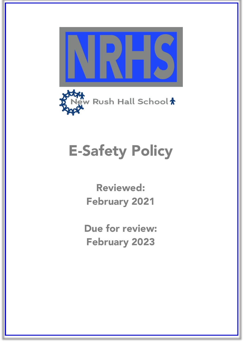



# E-Safety Policy

Reviewed: February 2021

Due for review: February 2023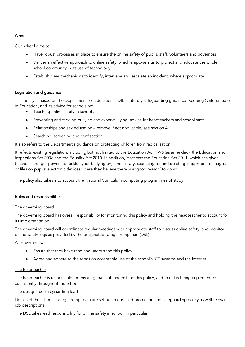## Aims

Our school aims to:

- Have robust processes in place to ensure the online safety of pupils, staff, volunteers and governors
- Deliver an effective approach to online safety, which empowers us to protect and educate the whole school community in its use of technology
- Establish clear mechanisms to identify, intervene and escalate an incident, where appropriate

# Legislation and guidance

This policy is based on the Department for Education's (DfE) statutory safeguarding guidance, Keeping Children Safe in Education, and its advice for schools on:

- Teaching online safety in schools
- Preventing and tackling bullying and cyber-bullying: advice for headteachers and school staff
- Relationships and sex education remove if not applicable, see section 4
- Searching, screening and confiscation

It also refers to the Department's quidance on protecting children from radicalisation.

It reflects existing legislation, including but not limited to the Education Act 1996 (as amended), the Education and Inspections Act 2006 and the Equality Act 2010. In addition, it reflects the Education Act 2011, which has given teachers stronger powers to tackle cyber-bullying by, if necessary, searching for and deleting inappropriate images or files on pupils' electronic devices where they believe there is a 'good reason' to do so.

The policy also takes into account the National Curriculum computing programmes of study.

## Roles and responsibilities

## The governing board

The governing board has overall responsibility for monitoring this policy and holding the headteacher to account for its implementation.

The governing board will co-ordinate regular meetings with appropriate staff to discuss online safety, and monitor online safety logs as provided by the designated safeguarding lead (DSL).

All governors will:

- Ensure that they have read and understand this policy
- Agree and adhere to the terms on acceptable use of the school's ICT systems and the internet.

## The headteacher

The headteacher is responsible for ensuring that staff understand this policy, and that it is being implemented consistently throughout the school.

## The designated safeguarding lead

Details of the school's safeguarding team are set out in our child protection and safeguarding policy as well relevant job descriptions.

The DSL takes lead responsibility for online safety in school, in particular: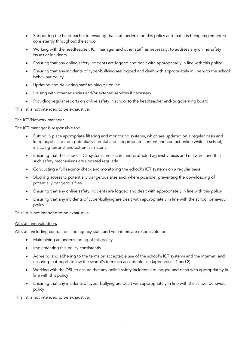- Supporting the headteacher in ensuring that staff understand this policy and that it is being implemented consistently throughout the school
- Working with the headteacher, ICT manager and other staff, as necessary, to address any online safety issues or incidents
- Ensuring that any online safety incidents are logged and dealt with appropriately in line with this policy
- Ensuring that any incidents of cyber-bullying are logged and dealt with appropriately in line with the school behaviour policy
- Updating and delivering staff training on online
- Liaising with other agencies and/or external services if necessary
- Providing regular reports on online safety in school to the headteacher and/or governing board

This list is not intended to be exhaustive.

#### The ICT/Network manager

The ICT manager is responsible for:

- Putting in place appropriate filtering and monitoring systems, which are updated on a regular basis and keep pupils safe from potentially harmful and inappropriate content and contact online while at school, including terrorist and extremist material
- Ensuring that the school's ICT systems are secure and protected against viruses and malware, and that such safety mechanisms are updated regularly
- Conducting a full security check and monitoring the school's ICT systems on a regular basis
- Blocking access to potentially dangerous sites and, where possible, preventing the downloading of potentially dangerous files
- Ensuring that any online safety incidents are logged and dealt with appropriately in line with this policy
- Ensuring that any incidents of cyber-bullying are dealt with appropriately in line with the school behaviour policy

This list is not intended to be exhaustive.

## All staff and volunteers

All staff, including contractors and agency staff, and volunteers are responsible for:

- Maintaining an understanding of this policy
- Implementing this policy consistently
- Agreeing and adhering to the terms on acceptable use of the school's ICT systems and the internet, and ensuring that pupils follow the school's terms on acceptable use (appendices 1 and 2)
- Working with the DSL to ensure that any online safety incidents are logged and dealt with appropriately in line with this policy
- Ensuring that any incidents of cyber-bullying are dealt with appropriately in line with the school behaviour policy

This list is not intended to be exhaustive.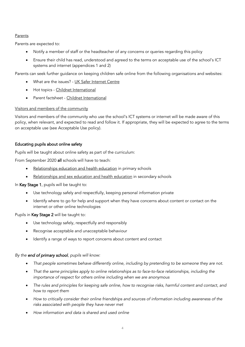## Parents

Parents are expected to:

- Notify a member of staff or the headteacher of any concerns or queries regarding this policy
- Ensure their child has read, understood and agreed to the terms on acceptable use of the school's ICT systems and internet (appendices 1 and 2)

Parents can seek further guidance on keeping children safe online from the following organisations and websites:

- What are the issues? UK Safer Internet Centre
- Hot topics Childnet International
- Parent factsheet Childnet International

## Visitors and members of the community

Visitors and members of the community who use the school's ICT systems or internet will be made aware of this policy, when relevant, and expected to read and follow it. If appropriate, they will be expected to agree to the terms on acceptable use (see Acceptable Use policy).

# Educating pupils about online safety

Pupils will be taught about online safety as part of the curriculum:

From September 2020 all schools will have to teach:

- Relationships education and health education in primary schools
- Relationships and sex education and health education in secondary schools

In Key Stage 1, pupils will be taught to:

- Use technology safely and respectfully, keeping personal information private
- Identify where to go for help and support when they have concerns about content or contact on the internet or other online technologies

Pupils in Key Stage 2 will be taught to:

- Use technology safely, respectfully and responsibly
- Recognise acceptable and unacceptable behaviour
- Identify a range of ways to report concerns about content and contact

## *By the end of primary school, pupils will know:*

- *That people sometimes behave differently online, including by pretending to be someone they are not.*
- *That the same principles apply to online relationships as to face-to-face relationships, including the importance of respect for others online including when we are anonymous*
- *The rules and principles for keeping safe online, how to recognise risks, harmful content and contact, and how to report them*
- *How to critically consider their online friendships and sources of information including awareness of the risks associated with people they have never met*
- *How information and data is shared and used online*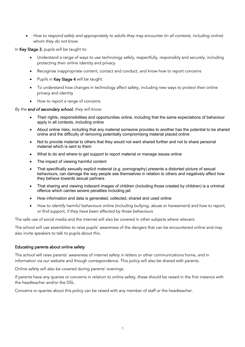• *How to respond safely and appropriately to adults they may encounter (in all contexts, including online) whom they do not know*

In Key Stage 3, pupils will be taught to:

- Understand a range of ways to use technology safely, respectfully, responsibly and securely, including protecting their online identity and privacy
- Recognise inappropriate content, contact and conduct, and know how to report concerns
- Pupils in Key Stage 4 will be taught:
- To understand how changes in technology affect safety, including new ways to protect their online privacy and identity
- How to report a range of concerns

*By the end of secondary school, they will know:*

- Their rights, responsibilities and opportunities online, including that the same expectations of behaviour apply in all contexts, including online
- About online risks, including that any material someone provides to another has the potential to be shared online and the difficulty of removing potentially compromising material placed online
- Not to provide material to others that they would not want shared further and not to share personal material which is sent to them
- What to do and where to get support to report material or manage issues online
- The impact of viewing harmful content
- That specifically sexually explicit material (e.g. pornography) presents a distorted picture of sexual behaviours, can damage the way people see themselves in relation to others and negatively affect how they behave towards sexual partners
- That sharing and viewing indecent images of children (including those created by children) is a criminal offence which carries severe penalties including jail
- How information and data is generated, collected, shared and used online
- *How to identify harmful behaviours online (including bullying, abuse or harassment) and how to report, or find support, if they have been affected by those behaviours*

The safe use of social media and the internet will also be covered in other subjects where relevant.

The school will use assemblies to raise pupils' awareness of the dangers that can be encountered online and may also invite speakers to talk to pupils about this.

#### Educating parents about online safety

The school will raise parents' awareness of internet safety in letters or other communications home, and in information via our website and though correspondence. This policy will also be shared with parents.

Online safety will also be covered during parents' evenings.

If parents have any queries or concerns in relation to online safety, these should be raised in the first instance with the headteacher and/or the DSL.

Concerns or queries about this policy can be raised with any member of staff or the headteacher.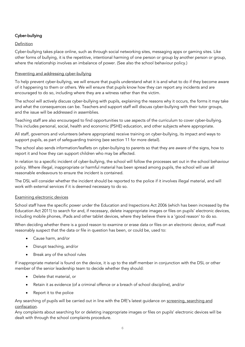# Cyber-bullying

## Definition

Cyber-bullying takes place online, such as through social networking sites, messaging apps or gaming sites. Like other forms of bullying, it is the repetitive, intentional harming of one person or group by another person or group, where the relationship involves an imbalance of power. (See also the school behaviour policy.)

## Preventing and addressing cyber-bullying

To help prevent cyber-bullying, we will ensure that pupils understand what it is and what to do if they become aware of it happening to them or others. We will ensure that pupils know how they can report any incidents and are encouraged to do so, including where they are a witness rather than the victim.

The school will actively discuss cyber-bullying with pupils, explaining the reasons why it occurs, the forms it may take and what the consequences can be. Teachers and support staff will discuss cyber-bullying with their tutor groups, and the issue will be addressed in assemblies.

Teaching staff are also encouraged to find opportunities to use aspects of the curriculum to cover cyber-bullying. This includes personal, social, health and economic (PSHE) education, and other subjects where appropriate.

All staff, governors and volunteers (where appropriate) receive training on cyber-bullying, its impact and ways to support pupils, as part of safeguarding training (see section 11 for more detail).

The school also sends information/leaflets on cyber-bullying to parents so that they are aware of the signs, how to report it and how they can support children who may be affected.

In relation to a specific incident of cyber-bullying, the school will follow the processes set out in the school behaviour policy. Where illegal, inappropriate or harmful material has been spread among pupils, the school will use all reasonable endeavours to ensure the incident is contained.

The DSL will consider whether the incident should be reported to the police if it involves illegal material, and will work with external services if it is deemed necessary to do so.

#### Examining electronic devices

School staff have the specific power under the Education and Inspections Act 2006 (which has been increased by the Education Act 2011) to search for and, if necessary, delete inappropriate images or files on pupils' electronic devices, including mobile phones, iPads and other tablet devices, where they believe there is a 'good reason' to do so.

When deciding whether there is a good reason to examine or erase data or files on an electronic device, staff must reasonably suspect that the data or file in question has been, or could be, used to:

- Cause harm, and/or
- Disrupt teaching, and/or
- Break any of the school rules

If inappropriate material is found on the device, it is up to the staff member in conjunction with the DSL or other member of the senior leadership team to decide whether they should:

- Delete that material, or
- Retain it as evidence (of a criminal offence or a breach of school discipline), and/or
- Report it to the police

Any searching of pupils will be carried out in line with the DfE's latest guidance on screening, searching and confiscation.

Any complaints about searching for or deleting inappropriate images or files on pupils' electronic devices will be dealt with through the school complaints procedure.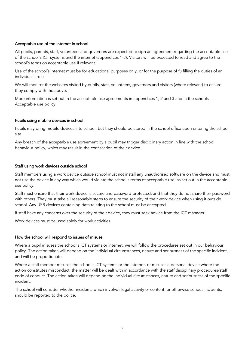## Acceptable use of the internet in school

All pupils, parents, staff, volunteers and governors are expected to sign an agreement regarding the acceptable use of the school's ICT systems and the internet (appendices 1-3). Visitors will be expected to read and agree to the school's terms on acceptable use if relevant.

Use of the school's internet must be for educational purposes only, or for the purpose of fulfilling the duties of an individual's role.

We will monitor the websites visited by pupils, staff, volunteers, governors and visitors (where relevant) to ensure they comply with the above.

More information is set out in the acceptable use agreements in appendices 1, 2 and 3 and in the schools Acceptable use policy.

#### Pupils using mobile devices in school

Pupils may bring mobile devices into school, but they should be stored in the school office upon entering the school site.

Any breach of the acceptable use agreement by a pupil may trigger disciplinary action in line with the school behaviour policy, which may result in the confiscation of their device.

#### Staff using work devices outside school

Staff members using a work device outside school must not install any unauthorised software on the device and must not use the device in any way which would violate the school's terms of acceptable use, as set out in the acceptable use policy.

Staff must ensure that their work device is secure and password-protected, and that they do not share their password with others. They must take all reasonable steps to ensure the security of their work device when using it outside school. Any USB devices containing data relating to the school must be encrypted.

If staff have any concerns over the security of their device, they must seek advice from the ICT manager.

Work devices must be used solely for work activities.

#### How the school will respond to issues of misuse

Where a pupil misuses the school's ICT systems or internet, we will follow the procedures set out in our behaviour policy. The action taken will depend on the individual circumstances, nature and seriousness of the specific incident, and will be proportionate.

Where a staff member misuses the school's ICT systems or the internet, or misuses a personal device where the action constitutes misconduct, the matter will be dealt with in accordance with the staff disciplinary procedures/staff code of conduct. The action taken will depend on the individual circumstances, nature and seriousness of the specific incident.

The school will consider whether incidents which involve illegal activity or content, or otherwise serious incidents, should be reported to the police.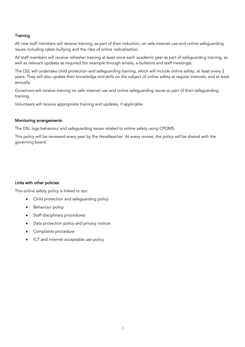## **Training**

All new staff members will receive training, as part of their induction, on safe internet use and online safeguarding issues including cyber-bullying and the risks of online radicalisation.

All staff members will receive refresher training at least once each academic year as part of safeguarding training, as well as relevant updates as required (for example through emails, e-bulletins and staff meetings).

The DSL will undertake child protection and safeguarding training, which will include online safety, at least every 2 years. They will also update their knowledge and skills on the subject of online safety at regular intervals, and at least annually.

Governors will receive training on safe internet use and online safeguarding issues as part of their safeguarding training.

Volunteers will receive appropriate training and updates, if applicable.

## Monitoring arrangements

The DSL logs behaviour and safeguarding issues related to online safety using CPOMS.

This policy will be reviewed every year by the Headteacher. At every review, the policy will be shared with the governing board.

#### Links with other policies

This online safety policy is linked to our:

- Child protection and safeguarding policy
- Behaviour policy
- Staff disciplinary procedures
- Data protection policy and privacy notices
- Complaints procedure
- ICT and internet acceptable use policy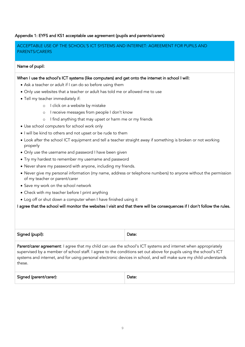## Appendix 1: EYFS and KS1 acceptable use agreement (pupils and parents/carers)

# ACCEPTABLE USE OF THE SCHOOL'S ICT SYSTEMS AND INTERNET: AGREEMENT FOR PUPILS AND PARENTS/CARERS

#### Name of pupil:

#### When I use the school's ICT systems (like computers) and get onto the internet in school I will:

- Ask a teacher or adult if I can do so before using them
- Only use websites that a teacher or adult has told me or allowed me to use
- Tell my teacher immediately if:
	- o I click on a website by mistake
	- o I receive messages from people I don't know
	- o I find anything that may upset or harm me or my friends
- Use school computers for school work only
- I will be kind to others and not upset or be rude to them
- Look after the school ICT equipment and tell a teacher straight away if something is broken or not working properly
- Only use the username and password I have been given
- Try my hardest to remember my username and password
- Never share my password with anyone, including my friends.
- Never give my personal information (my name, address or telephone numbers) to anyone without the permission of my teacher or parent/carer
- Save my work on the school network
- Check with my teacher before I print anything
- Log off or shut down a computer when I have finished using it

## I agree that the school will monitor the websites I visit and that there will be consequences if I don't follow the rules.

| Signed (pupil): | Jate: |
|-----------------|-------|
|                 |       |

Parent/carer agreement: I agree that my child can use the school's ICT systems and internet when appropriately supervised by a member of school staff. I agree to the conditions set out above for pupils using the school's ICT systems and internet, and for using personal electronic devices in school, and will make sure my child understands these.

|--|